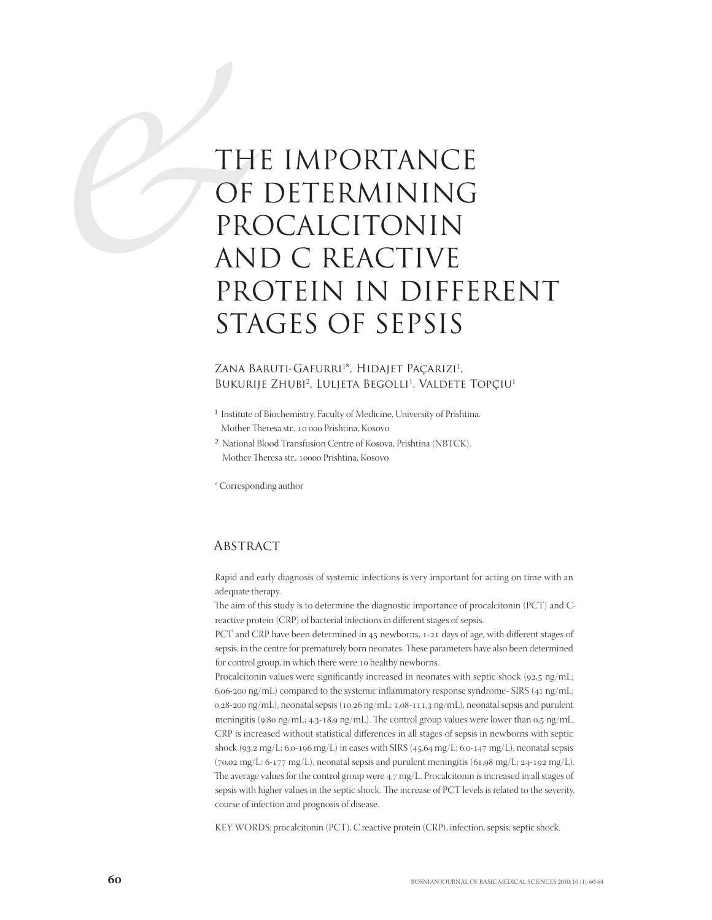# TH OF PROAD THE IMPORTANCE OF DETERMINING PROCALCITONIN AND C REACTIVE PROTEIN IN DIFFERENT STAGES OF SEPSIS

## Zana Baruti-Gafurri\*, Hidajet Paçarızı<sup>1</sup>, Bukurije Zhubi<sup>2</sup>, Luljeta Begolli<sup>1</sup>, Valdete Topçiu<sup>1</sup>

- 1 Institute of Biochemistry, Faculty of Medicine, University of Prishtina. Mother Theresa str., 10 000 Prishtina, Kosovo
- 2 National Blood Transfusion Centre of Kosova, Prishtina (NBTCK). Mother Theresa str., 10000 Prishtina, Kosovo

\* Corresponding author

## **ABSTRACT**

Rapid and early diagnosis of systemic infections is very important for acting on time with an adequate therapy.

The aim of this study is to determine the diagnostic importance of procalcitonin (PCT) and Creactive protein (CRP) of bacterial infections in different stages of sepsis.

PCT and CRP have been determined in  $45$  newborns,  $1-21$  days of age, with different stages of sepsis, in the centre for prematurely born neonates. These parameters have also been determined for control group, in which there were 10 healthy newborns.

Procalcitonin values were significantly increased in neonates with septic shock (92,5 ng/mL; 6,06-200 ng/mL) compared to the systemic inflammatory response syndrome- SIRS (41 ng/mL;  $0.28$ -200 ng/mL), neonatal sepsis (10,26 ng/mL; 1,08-111,3 ng/mL), neonatal sepsis and purulent meningitis (9,80 ng/mL; 4,3-18,9 ng/mL). The control group values were lower than  $0.5 \text{ ng/mL}$ . CRP is increased without statistical differences in all stages of sepsis in newborns with septic shock (93,2 mg/L; 6,0-196 mg/L) in cases with SIRS (45,64 mg/L; 6,0-147 mg/L), neonatal sepsis  $(70.02 \text{ mg/L}; 6-177 \text{ mg/L})$ , neonatal sepsis and purulent meningitis  $(61.98 \text{ mg/L}; 24-192 \text{ mg/L})$ . The average values for the control group were  $4.7 \text{ mg/L}$ . Procalcitonin is increased in all stages of sepsis with higher values in the septic shock. The increase of PCT levels is related to the severity, course of infection and prognosis of disease.

KEY WORDS: procalcitonin (PCT), C reactive protein (CRP), infection, sepsis, septic shock.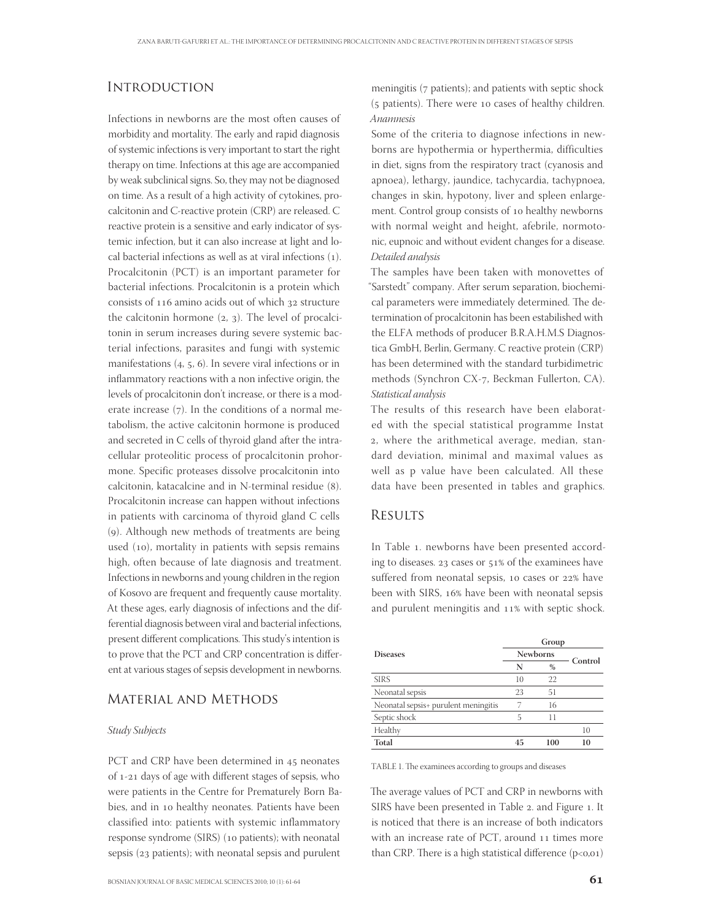## **INTRODUCTION**

Infections in newborns are the most often causes of morbidity and mortality. The early and rapid diagnosis of systemic infections is very important to start the right therapy on time. Infections at this age are accompanied by weak subclinical signs. So, they may not be diagnosed on time. As a result of a high activity of cytokines, procalcitonin and C-reactive protein (CRP) are released. C reactive protein is a sensitive and early indicator of systemic infection, but it can also increase at light and local bacterial infections as well as at viral infections (). Procalcitonin (PCT) is an important parameter for bacterial infections. Procalcitonin is a protein which consists of  $116$  amino acids out of which  $32$  structure the calcitonin hormone  $(2, 3)$ . The level of procalcitonin in serum increases during severe systemic bacterial infections, parasites and fungi with systemic manifestations  $(4, 5, 6)$ . In severe viral infections or in inflammatory reactions with a non infective origin, the levels of procalcitonin don't increase, or there is a moderate increase  $(7)$ . In the conditions of a normal metabolism, the active calcitonin hormone is produced and secreted in C cells of thyroid gland after the intracellular proteolitic process of procalcitonin prohormone. Specific proteases dissolve procalcitonin into calcitonin, katacalcine and in N-terminal residue (8). Procalcitonin increase can happen without infections in patients with carcinoma of thyroid gland C cells (). Although new methods of treatments are being used (10), mortality in patients with sepsis remains high, often because of late diagnosis and treatment. Infections in newborns and young children in the region of Kosovo are frequent and frequently cause mortality. At these ages, early diagnosis of infections and the differential diagnosis between viral and bacterial infections, present different complications. This study's intention is to prove that the PCT and CRP concentration is different at various stages of sepsis development in newborns.

### Material and Methods

#### Study Subjects

PCT and CRP have been determined in 45 neonates of 1-21 days of age with different stages of sepsis, who were patients in the Centre for Prematurely Born Babies, and in 10 healthy neonates. Patients have been classified into: patients with systemic inflammatory response syndrome (SIRS) (10 patients); with neonatal sepsis (23 patients); with neonatal sepsis and purulent

meningitis ( $7$  patients); and patients with septic shock  $(5$  patients). There were 10 cases of healthy children. Anamnesis

Some of the criteria to diagnose infections in newborns are hypothermia or hyperthermia, difficulties in diet, signs from the respiratory tract (cyanosis and apnoea), lethargy, jaundice, tachycardia, tachypnoea, changes in skin, hypotony, liver and spleen enlargement. Control group consists of 10 healthy newborns with normal weight and height, afebrile, normotonic, eupnoic and without evident changes for a disease. Detailed analysis

The samples have been taken with monovettes of "Sarstedt" company. After serum separation, biochemical parameters were immediately determined. The determination of procalcitonin has been estabilished with the ELFA methods of producer B.R.A.H.M.S Diagnostica GmbH, Berlin, Germany. C reactive protein (CRP) has been determined with the standard turbidimetric methods (Synchron CX-7, Beckman Fullerton, CA). Statistical analysis

The results of this research have been elaborated with the special statistical programme Instat , where the arithmetical average, median, standard deviation, minimal and maximal values as well as p value have been calculated. All these data have been presented in tables and graphics.

#### **RESULTS**

In Table 1. newborns have been presented according to diseases. 23 cases or 51% of the examinees have suffered from neonatal sepsis, 10 cases or 22% have been with SIRS, 16% have been with neonatal sepsis and purulent meningitis and 11% with septic shock.

|                                      | Group           |      |         |
|--------------------------------------|-----------------|------|---------|
| <b>Diseases</b>                      | <b>Newborns</b> |      | Control |
|                                      | N               | $\%$ |         |
| <b>SIRS</b>                          | 10              | 22   |         |
| Neonatal sepsis                      | 23              | 51   |         |
| Neonatal sepsis+ purulent meningitis |                 | 16   |         |
| Septic shock                         | 5               | 11   |         |
| Healthy                              |                 |      | 10      |
| <b>Total</b>                         | 45              | 100  | 10      |

TABLE 1. The examinees according to groups and diseases

The average values of PCT and CRP in newborns with SIRS have been presented in Table 2. and Figure 1. It is noticed that there is an increase of both indicators with an increase rate of PCT, around 11 times more than CRP. There is a high statistical difference  $(p<0,01)$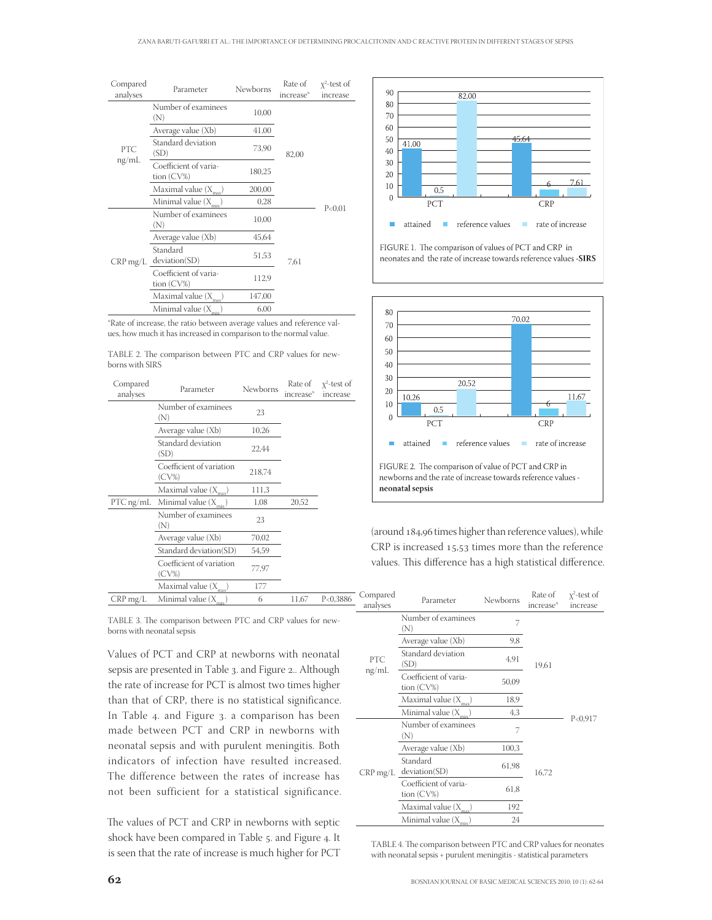| Compared<br>analyses | Parameter                              | Newborns | Rate of<br>increase <sup>*</sup> | $x^2$ -test of<br>increase |
|----------------------|----------------------------------------|----------|----------------------------------|----------------------------|
| PTC<br>ng/mL         | Number of examinees<br>(N)             | 10,00    | 82,00                            | P< 0.01                    |
|                      | Average value (Xb)                     | 41,00    |                                  |                            |
|                      | Standard deviation<br>(SD)             | 73,90    |                                  |                            |
|                      | Coefficient of varia-<br>tion $(CV\%)$ | 180,25   |                                  |                            |
|                      | Maximal value $(X_{\text{max}})$       | 200,00   |                                  |                            |
|                      | Minimal value $(X_{\dots})$            | 0,28     |                                  |                            |
| $CRP$ mg/L           | Number of examinees<br>(N)             | 10,00    |                                  |                            |
|                      | Average value (Xb)                     | 45,64    | 7,61                             |                            |
|                      | Standard<br>deviation(SD)              | 51,53    |                                  |                            |
|                      | Coefficient of varia-<br>tion $(CV\%)$ | 112,9    |                                  |                            |
|                      | Maximal value $(X_{\text{max}})$       | 147,00   |                                  |                            |
|                      | Minimal value $(X_{min})$              | 6,00     |                                  |                            |

\*Rate of increase, the ratio between average values and reference values, how much it has increased in comparison to the normal value.

| Compared<br>analyses | Parameter                         | Newborns | Rate of<br>increase <sup>®</sup> | $x^2$ -test of<br>increase |
|----------------------|-----------------------------------|----------|----------------------------------|----------------------------|
|                      | Number of examinees<br>(N)        | 23       |                                  |                            |
|                      | Average value (Xb)                | 10,26    |                                  |                            |
|                      | Standard deviation<br>(SD)        | 22,44    |                                  |                            |
|                      | Coefficient of variation<br>(CV%) | 218,74   |                                  |                            |
|                      | Maximal value $(X_{\text{max}})$  | 111,3    |                                  |                            |
| PTC ng/mL            | Minimal value $(X_{\text{max}})$  | 1,08     | 20,52                            |                            |
|                      | Number of examinees<br>(N)        | 23       |                                  |                            |
|                      | Average value (Xb)                | 70,02    |                                  |                            |
|                      | Standard deviation(SD)            | 54,59    |                                  |                            |
|                      | Coefficient of variation<br>(CV%) | 77,97    |                                  |                            |
|                      | Maximal value $(X_{max})$         | 177      |                                  |                            |
| $CRP$ mg/L           | Minimal value $(X_{min})$         | 6        | 11,67                            | P<0,3886                   |

TABLE 2. The comparison between PTC and CRP values for newborns with SIRS

TABLE 3. The comparison between PTC and CRP values for newborns with neonatal sepsis

Values of PCT and CRP at newborns with neonatal sepsis are presented in Table 3. and Figure 2.. Although the rate of increase for PCT is almost two times higher than that of CRP, there is no statistical significance. In Table 4. and Figure 3. a comparison has been made between PCT and CRP in newborns with neonatal sepsis and with purulent meningitis. Both indicators of infection have resulted increased. The difference between the rates of increase has not been sufficient for a statistical significance.

The values of PCT and CRP in newborns with septic shock have been compared in Table 5. and Figure 4. It is seen that the rate of increase is much higher for PCT



FIGURE 1. The comparison of values of PCT and CRP in neonates and the rate of increase towards reference values -SIRS



(around  $184,96$  times higher than reference values), while  $CRP$  is increased  $15.53$  times more than the reference values. This difference has a high statistical difference.

| Compared<br>analyses | Parameter                              | Newborns | Rate of<br>increase <sup>®</sup> | $x^2$ -test of<br>increase |
|----------------------|----------------------------------------|----------|----------------------------------|----------------------------|
| <b>PTC</b><br>ng/mL  | Number of examinees<br>(N)             | 7        | 19,61                            | P < 0.917                  |
|                      | Average value (Xb)                     | 9,8      |                                  |                            |
|                      | Standard deviation<br>(SD)             | 4,91     |                                  |                            |
|                      | Coefficient of varia-<br>tion $(CV\%)$ | 50,09    |                                  |                            |
|                      | Maximal value $(X_{})$                 | 18,9     |                                  |                            |
|                      | Minimal value (X                       | 4,3      |                                  |                            |
| $CRP$ mg/L           | Number of examinees<br>(N)             | 7        | 16,72                            |                            |
|                      | Average value (Xb)                     | 100,3    |                                  |                            |
|                      | Standard<br>deviation(SD)              | 61,98    |                                  |                            |
|                      | Coefficient of varia-<br>tion (CV%)    | 61,8     |                                  |                            |
|                      | Maximal value $(X_n)$                  | 192      |                                  |                            |
|                      | Minimal value (X)                      | 24       |                                  |                            |

TABLE 4. The comparison between PTC and CRP values for neonates with neonatal sepsis + purulent meningitis - statistical parameters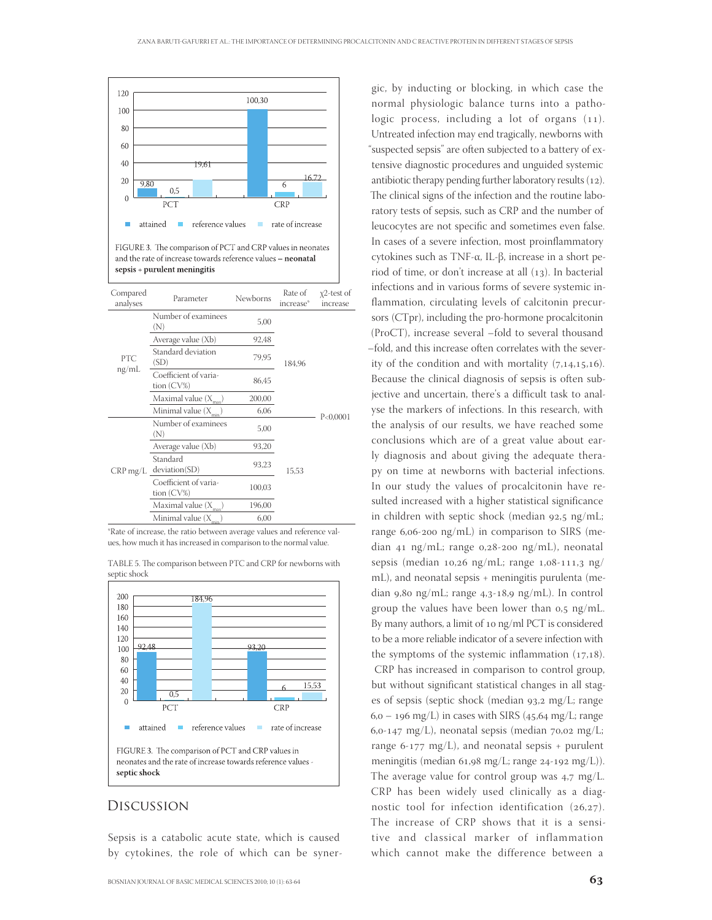

and the rate of increase towards reference values - neonatal sepsis + purulent meningitis

| Compared<br>analyses | Parameter                              | Newborns | Rate of<br>increase* | $x^2$ -test of<br>increase |
|----------------------|----------------------------------------|----------|----------------------|----------------------------|
| <b>PTC</b><br>ng/mL  | Number of examinees<br>(N)             | 5,00     | 184,96               | P< 0,0001                  |
|                      | Average value (Xb)                     | 92,48    |                      |                            |
|                      | Standard deviation<br>(SD)             | 79,95    |                      |                            |
|                      | Coefficient of varia-<br>tion $(CV\%)$ | 86,45    |                      |                            |
|                      | Maximal value $(X_{\dots})$            | 200,00   |                      |                            |
|                      | Minimal value $(X_{\dots})$            | 6,06     |                      |                            |
| $CRP$ mg/L           | Number of examinees<br>(N)             | 5,00     |                      |                            |
|                      | Average value (Xb)                     | 93,20    |                      |                            |
|                      | Standard<br>deviation(SD)              | 93,23    | 15,53                |                            |
|                      | Coefficient of varia-<br>tion (CV%)    | 100,03   |                      |                            |
|                      | Maximal value (X                       | 196,00   |                      |                            |
|                      | Minimal value (X)                      | 6,00     |                      |                            |

\*Rate of increase, the ratio between average values and reference values, how much it has increased in comparison to the normal value.

TABLE 5. The comparison between PTC and CRP for newborns with septic shock



### Discussion

Sepsis is a catabolic acute state, which is caused by cytokines, the role of which can be syner-

gic, by inducting or blocking, in which case the normal physiologic balance turns into a pathologic process, including a lot of organs  $(11)$ . Untreated infection may end tragically, newborns with "suspected sepsis" are often subjected to a battery of extensive diagnostic procedures and unguided systemic antibiotic therapy pending further laboratory results  $(12)$ . The clinical signs of the infection and the routine laboratory tests of sepsis, such as CRP and the number of leucocytes are not specific and sometimes even false. In cases of a severe infection, most proinflammatory cytokines such as TNF-α, IL-β, increase in a short period of time, or don't increase at all  $(13)$ . In bacterial infections and in various forms of severe systemic inflammation, circulating levels of calcitonin precursors (CTpr), including the pro-hormone procalcitonin (ProCT), increase several –fold to several thousand –fold, and this increase often correlates with the severity of the condition and with mortality  $(7,14,15,16)$ . Because the clinical diagnosis of sepsis is often subjective and uncertain, there's a difficult task to analyse the markers of infections. In this research, with the analysis of our results, we have reached some conclusions which are of a great value about early diagnosis and about giving the adequate therapy on time at newborns with bacterial infections. In our study the values of procalcitonin have resulted increased with a higher statistical significance in children with septic shock (median  $92.5$  ng/mL; range  $6,06$ -200 ng/mL) in comparison to SIRS (median 41 ng/mL; range 0,28-200 ng/mL), neonatal sepsis (median  $10,26$  ng/mL; range  $1,08-111,3$  ng/ mL), and neonatal sepsis + meningitis purulenta (median 9,80 ng/mL; range 4,3-18,9 ng/mL). In control group the values have been lower than  $0.5$  ng/mL. By many authors, a limit of 10  $\log$ /ml PCT is considered to be a more reliable indicator of a severe infection with the symptoms of the systemic inflammation  $(17,18)$ . CRP has increased in comparison to control group, but without significant statistical changes in all stages of sepsis (septic shock (median 93,2 mg/L; range  $6, o - 196$  mg/L) in cases with SIRS (45,64 mg/L; range 6,0-147 mg/L), neonatal sepsis (median  $70,02$  mg/L; range 6-177 mg/L), and neonatal sepsis + purulent meningitis (median 61,98 mg/L; range 24-192 mg/L)). The average value for control group was  $4.7 \text{ mg/L}$ . CRP has been widely used clinically as a diagnostic tool for infection identification  $(26.27)$ . The increase of CRP shows that it is a sensitive and classical marker of inflammation which cannot make the difference between a